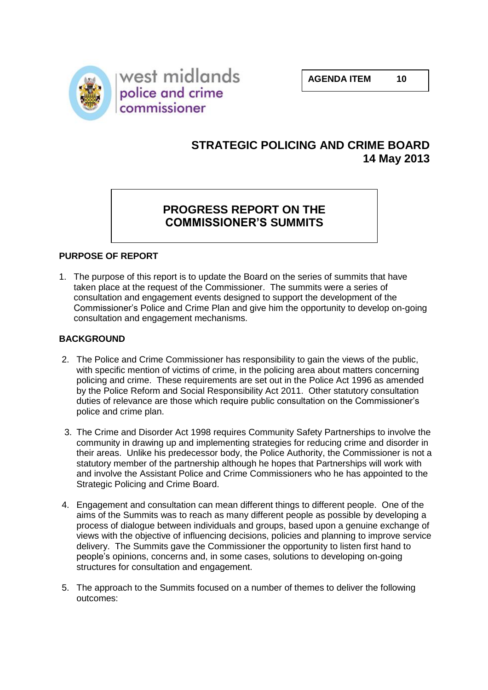**AGENDA ITEM 10**

west midlands police and crime commissioner

# **STRATEGIC POLICING AND CRIME BOARD 14 May 2013**

# **PROGRESS REPORT ON THE COMMISSIONER'S SUMMITS**

# **PURPOSE OF REPORT**

1. The purpose of this report is to update the Board on the series of summits that have taken place at the request of the Commissioner. The summits were a series of consultation and engagement events designed to support the development of the Commissioner's Police and Crime Plan and give him the opportunity to develop on-going consultation and engagement mechanisms.

## **BACKGROUND**

- 2. The Police and Crime Commissioner has responsibility to gain the views of the public, with specific mention of victims of crime, in the policing area about matters concerning policing and crime. These requirements are set out in the Police Act 1996 as amended by the Police Reform and Social Responsibility Act 2011. Other statutory consultation duties of relevance are those which require public consultation on the Commissioner's police and crime plan.
- 3. The Crime and Disorder Act 1998 requires Community Safety Partnerships to involve the community in drawing up and implementing strategies for reducing crime and disorder in their areas. Unlike his predecessor body, the Police Authority, the Commissioner is not a statutory member of the partnership although he hopes that Partnerships will work with and involve the Assistant Police and Crime Commissioners who he has appointed to the Strategic Policing and Crime Board.
- 4. Engagement and consultation can mean different things to different people. One of the aims of the Summits was to reach as many different people as possible by developing a process of dialogue between individuals and groups, based upon a genuine exchange of views with the objective of influencing decisions, policies and planning to improve service delivery. The Summits gave the Commissioner the opportunity to listen first hand to people's opinions, concerns and, in some cases, solutions to developing on-going structures for consultation and engagement.
- 5. The approach to the Summits focused on a number of themes to deliver the following outcomes: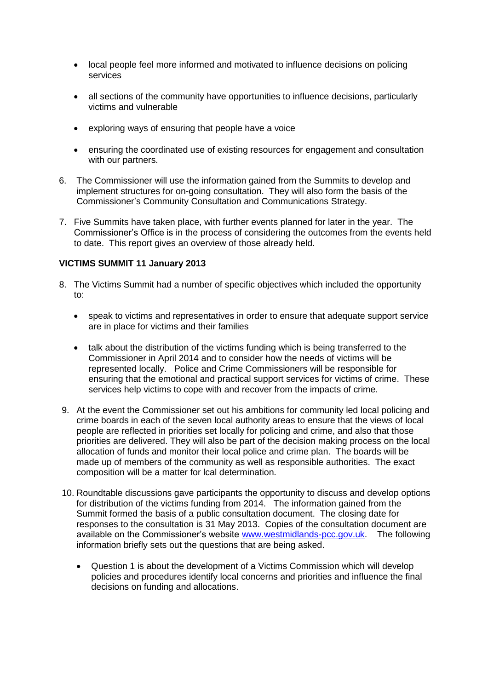- local people feel more informed and motivated to influence decisions on policing services
- all sections of the community have opportunities to influence decisions, particularly victims and vulnerable
- exploring ways of ensuring that people have a voice
- ensuring the coordinated use of existing resources for engagement and consultation with our partners.
- 6. The Commissioner will use the information gained from the Summits to develop and implement structures for on-going consultation. They will also form the basis of the Commissioner's Community Consultation and Communications Strategy.
- 7. Five Summits have taken place, with further events planned for later in the year. The Commissioner's Office is in the process of considering the outcomes from the events held to date. This report gives an overview of those already held.

## **VICTIMS SUMMIT 11 January 2013**

- 8. The Victims Summit had a number of specific objectives which included the opportunity to:
	- speak to victims and representatives in order to ensure that adequate support service are in place for victims and their families
	- talk about the distribution of the victims funding which is being transferred to the Commissioner in April 2014 and to consider how the needs of victims will be represented locally. Police and Crime Commissioners will be responsible for ensuring that the emotional and practical support services for victims of crime. These services help victims to cope with and recover from the impacts of crime.
- 9. At the event the Commissioner set out his ambitions for community led local policing and crime boards in each of the seven local authority areas to ensure that the views of local people are reflected in priorities set locally for policing and crime, and also that those priorities are delivered. They will also be part of the decision making process on the local allocation of funds and monitor their local police and crime plan. The boards will be made up of members of the community as well as responsible authorities. The exact composition will be a matter for lcal determination.
- 10. Roundtable discussions gave participants the opportunity to discuss and develop options for distribution of the victims funding from 2014. The information gained from the Summit formed the basis of a public consultation document. The closing date for responses to the consultation is 31 May 2013. Copies of the consultation document are available on the Commissioner's website [www.westmidlands-pcc.gov.uk.](http://www.westmidlands-pcc.gov.uk/) The following information briefly sets out the questions that are being asked.
	- Question 1 is about the development of a Victims Commission which will develop policies and procedures identify local concerns and priorities and influence the final decisions on funding and allocations.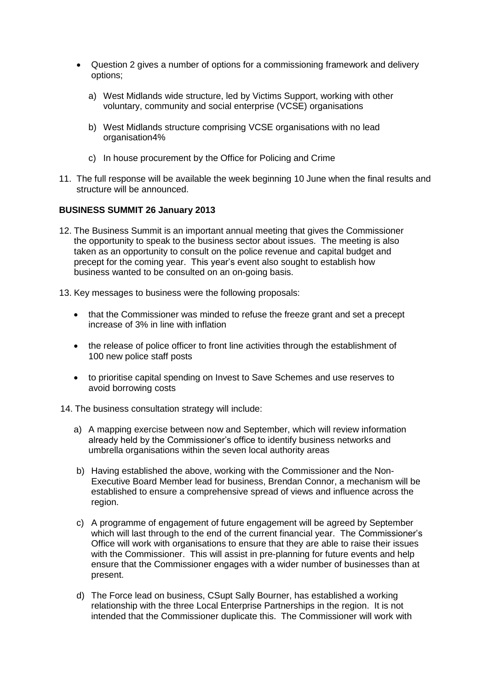- Question 2 gives a number of options for a commissioning framework and delivery options;
	- a) West Midlands wide structure, led by Victims Support, working with other voluntary, community and social enterprise (VCSE) organisations
	- b) West Midlands structure comprising VCSE organisations with no lead organisation4%
	- c) In house procurement by the Office for Policing and Crime
- 11. The full response will be available the week beginning 10 June when the final results and structure will be announced.

#### **BUSINESS SUMMIT 26 January 2013**

- 12. The Business Summit is an important annual meeting that gives the Commissioner the opportunity to speak to the business sector about issues. The meeting is also taken as an opportunity to consult on the police revenue and capital budget and precept for the coming year. This year's event also sought to establish how business wanted to be consulted on an on-going basis.
- 13. Key messages to business were the following proposals:
	- that the Commissioner was minded to refuse the freeze grant and set a precept increase of 3% in line with inflation
	- the release of police officer to front line activities through the establishment of 100 new police staff posts
	- to prioritise capital spending on Invest to Save Schemes and use reserves to avoid borrowing costs
- 14. The business consultation strategy will include:
	- a) A mapping exercise between now and September, which will review information already held by the Commissioner's office to identify business networks and umbrella organisations within the seven local authority areas
	- b) Having established the above, working with the Commissioner and the Non-Executive Board Member lead for business, Brendan Connor, a mechanism will be established to ensure a comprehensive spread of views and influence across the region.
	- c) A programme of engagement of future engagement will be agreed by September which will last through to the end of the current financial year. The Commissioner's Office will work with organisations to ensure that they are able to raise their issues with the Commissioner. This will assist in pre-planning for future events and help ensure that the Commissioner engages with a wider number of businesses than at present.
	- d) The Force lead on business, CSupt Sally Bourner, has established a working relationship with the three Local Enterprise Partnerships in the region. It is not intended that the Commissioner duplicate this. The Commissioner will work with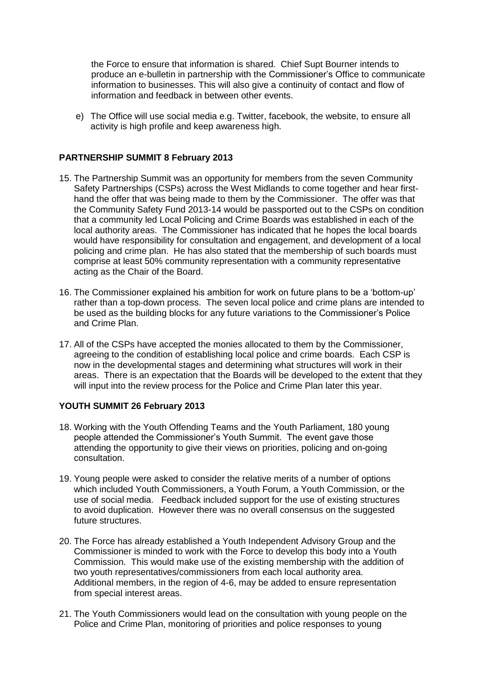the Force to ensure that information is shared. Chief Supt Bourner intends to produce an e-bulletin in partnership with the Commissioner's Office to communicate information to businesses. This will also give a continuity of contact and flow of information and feedback in between other events.

e) The Office will use social media e.g. Twitter, facebook, the website, to ensure all activity is high profile and keep awareness high.

#### **PARTNERSHIP SUMMIT 8 February 2013**

- 15. The Partnership Summit was an opportunity for members from the seven Community Safety Partnerships (CSPs) across the West Midlands to come together and hear firsthand the offer that was being made to them by the Commissioner. The offer was that the Community Safety Fund 2013-14 would be passported out to the CSPs on condition that a community led Local Policing and Crime Boards was established in each of the local authority areas. The Commissioner has indicated that he hopes the local boards would have responsibility for consultation and engagement, and development of a local policing and crime plan. He has also stated that the membership of such boards must comprise at least 50% community representation with a community representative acting as the Chair of the Board.
- 16. The Commissioner explained his ambition for work on future plans to be a 'bottom-up' rather than a top-down process. The seven local police and crime plans are intended to be used as the building blocks for any future variations to the Commissioner's Police and Crime Plan.
- 17. All of the CSPs have accepted the monies allocated to them by the Commissioner, agreeing to the condition of establishing local police and crime boards. Each CSP is now in the developmental stages and determining what structures will work in their areas. There is an expectation that the Boards will be developed to the extent that they will input into the review process for the Police and Crime Plan later this year.

#### **YOUTH SUMMIT 26 February 2013**

- 18. Working with the Youth Offending Teams and the Youth Parliament, 180 young people attended the Commissioner's Youth Summit. The event gave those attending the opportunity to give their views on priorities, policing and on-going consultation.
- 19. Young people were asked to consider the relative merits of a number of options which included Youth Commissioners, a Youth Forum, a Youth Commission, or the use of social media. Feedback included support for the use of existing structures to avoid duplication. However there was no overall consensus on the suggested future structures.
- 20. The Force has already established a Youth Independent Advisory Group and the Commissioner is minded to work with the Force to develop this body into a Youth Commission. This would make use of the existing membership with the addition of two youth representatives/commissioners from each local authority area. Additional members, in the region of 4-6, may be added to ensure representation from special interest areas.
- 21. The Youth Commissioners would lead on the consultation with young people on the Police and Crime Plan, monitoring of priorities and police responses to young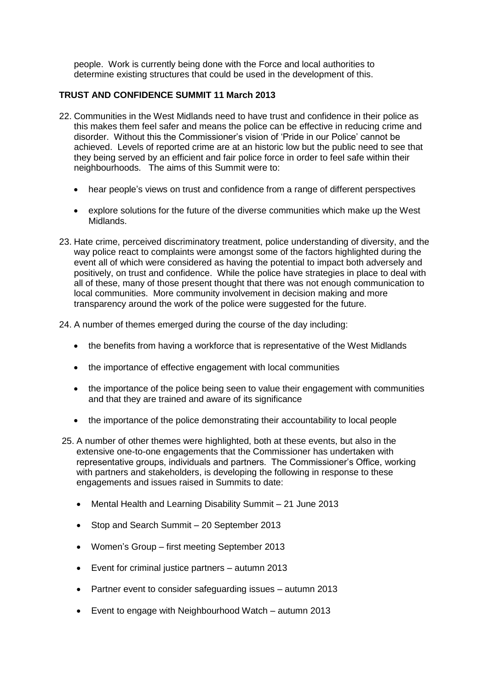people. Work is currently being done with the Force and local authorities to determine existing structures that could be used in the development of this.

## **TRUST AND CONFIDENCE SUMMIT 11 March 2013**

- 22. Communities in the West Midlands need to have trust and confidence in their police as this makes them feel safer and means the police can be effective in reducing crime and disorder. Without this the Commissioner's vision of 'Pride in our Police' cannot be achieved. Levels of reported crime are at an historic low but the public need to see that they being served by an efficient and fair police force in order to feel safe within their neighbourhoods. The aims of this Summit were to:
	- hear people's views on trust and confidence from a range of different perspectives
	- explore solutions for the future of the diverse communities which make up the West Midlands.
- 23. Hate crime, perceived discriminatory treatment, police understanding of diversity, and the way police react to complaints were amongst some of the factors highlighted during the event all of which were considered as having the potential to impact both adversely and positively, on trust and confidence. While the police have strategies in place to deal with all of these, many of those present thought that there was not enough communication to local communities. More community involvement in decision making and more transparency around the work of the police were suggested for the future.
- 24. A number of themes emerged during the course of the day including:
	- the benefits from having a workforce that is representative of the West Midlands
	- the importance of effective engagement with local communities
	- the importance of the police being seen to value their engagement with communities and that they are trained and aware of its significance
	- the importance of the police demonstrating their accountability to local people
- 25. A number of other themes were highlighted, both at these events, but also in the extensive one-to-one engagements that the Commissioner has undertaken with representative groups, individuals and partners. The Commissioner's Office, working with partners and stakeholders, is developing the following in response to these engagements and issues raised in Summits to date:
	- Mental Health and Learning Disability Summit 21 June 2013
	- Stop and Search Summit 20 September 2013
	- Women's Group first meeting September 2013
	- Event for criminal justice partners autumn 2013
	- Partner event to consider safeguarding issues autumn 2013
	- Event to engage with Neighbourhood Watch autumn 2013